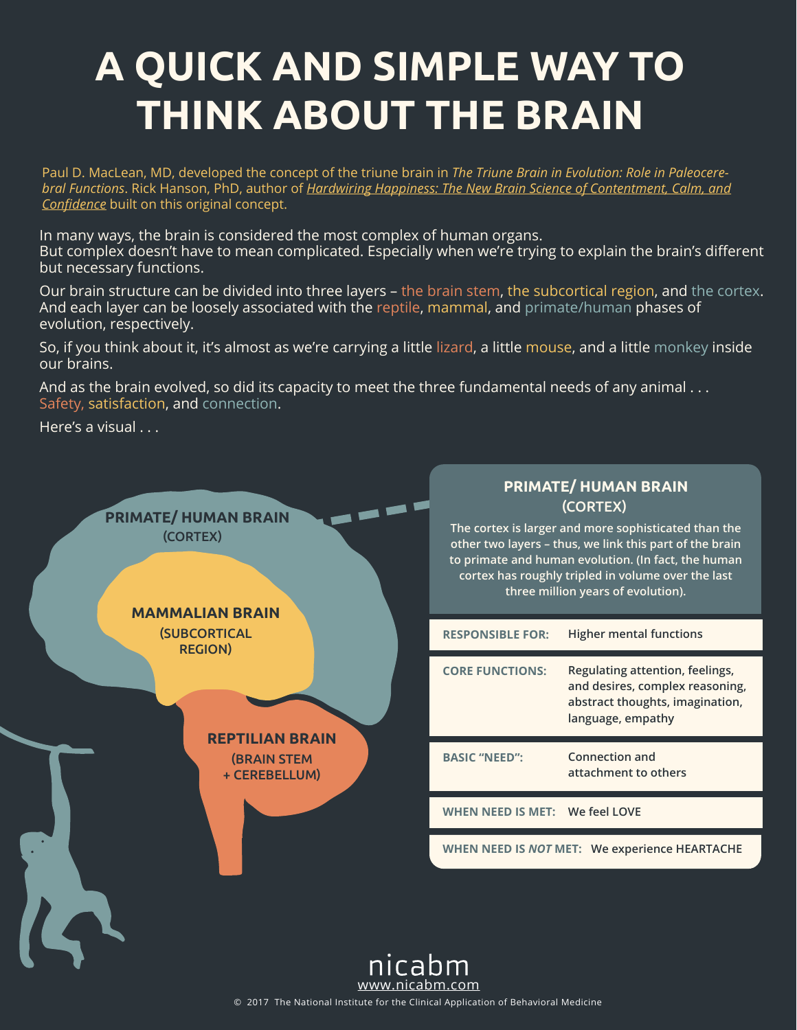# **A QUICK AND SIMPLE WAY TO THINK ABOUT THE BRAIN**

Paul D. MacLean, MD, developed the concept of the triune brain in *The Triune Brain in Evolution: Role in Paleocerebral Functions*. Rick Hanson, PhD, author of *[Hardwiring Happiness: The New Brain Science of Contentment, Calm, and](https://www.amazon.com/gp/product/0385347316/ref=as_li_ss_tl?ie=UTF8&camp=1789&creative=390957&creativeASIN=0385347316&linkCode=as2&tag=billohanlon)  Confidence* built on this original concept.

In many ways, the brain is considered the most complex of human organs. But complex doesn't have to mean complicated. Especially when we're trying to explain the brain's different but necessary functions.

Our brain structure can be divided into three layers – the brain stem, the subcortical region, and the cortex. And each layer can be loosely associated with the reptile, mammal, and primate/human phases of evolution, respectively.

So, if you think about it, it's almost as we're carrying a little lizard, a little mouse, and a little monkey inside our brains.

And as the brain evolved, so did its capacity to meet the three fundamental needs of any animal . . . Safety, satisfaction, and connection.

Here's a visual . . .



© 2017 The National Institute for the Clinical Application of Behavioral Medicine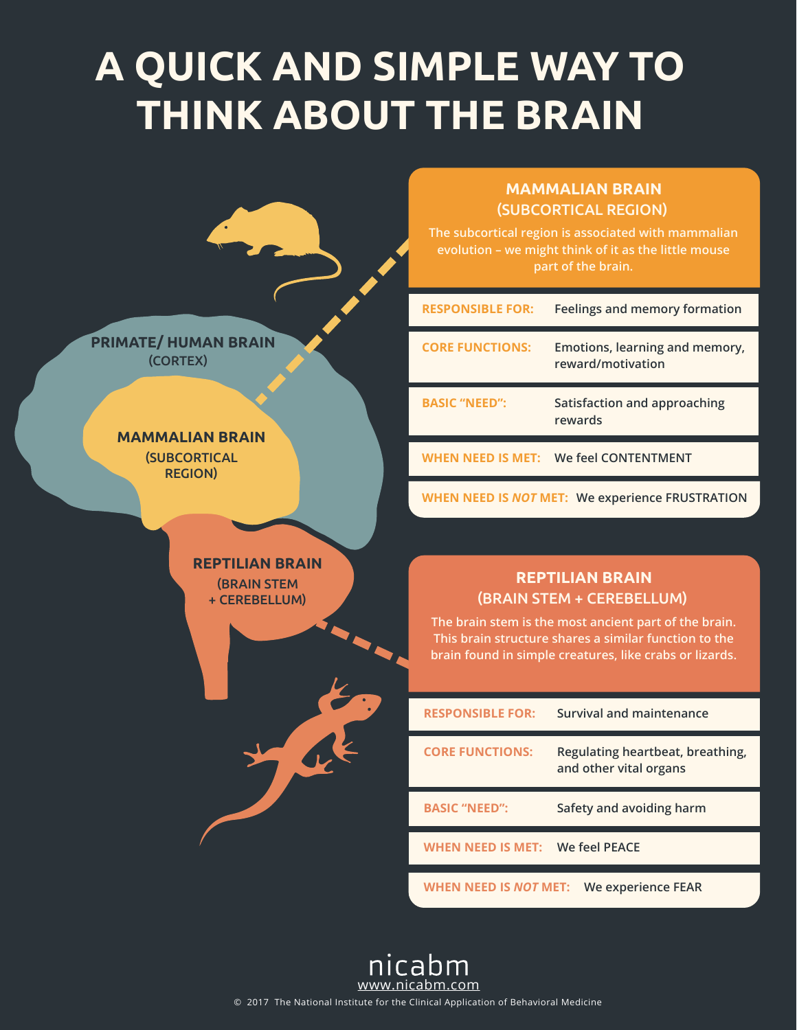# **A QUICK AND SIMPLE WAY TO THINK ABOUT THE BRAIN**



#### **MAMMALIAN BRAIN** (SUBCORTICAL REGION)

**The subcortical region is associated with mammalian evolution – we might think of it as the little mouse part of the brain.**

| <b>RESPONSIBLE FOR:</b> | Feelings and memory formation                       |
|-------------------------|-----------------------------------------------------|
| <b>CORE FUNCTIONS:</b>  | Emotions, learning and memory,<br>reward/motivation |
|                         |                                                     |
| <b>BASIC "NEED":</b>    | Satisfaction and approaching<br>rewards             |

**WHEN NEED IS** *NOT* **MET: We experience FRUSTRATION** 

### **REPTILIAN BRAIN** (BRAIN STEM + CEREBELLUM)

**The brain stem is the most ancient part of the brain. This brain structure shares a similar function to the brain found in simple creatures, like crabs or lizards.**

| <b>RESPONSIBLE FOR:</b>      | Survival and maintenance                                   |
|------------------------------|------------------------------------------------------------|
| <b>CORE FUNCTIONS:</b>       | Regulating heartbeat, breathing,<br>and other vital organs |
| <b>BASIC "NEED":</b>         | Safety and avoiding harm                                   |
| WHEN NEED IS MET:            | We feel PEACE                                              |
| WHEN NEED IS <i>NOT</i> MET: | <b>We experience FEAR</b>                                  |



© 2017 The National Institute for the Clinical Application of Behavioral Medicine